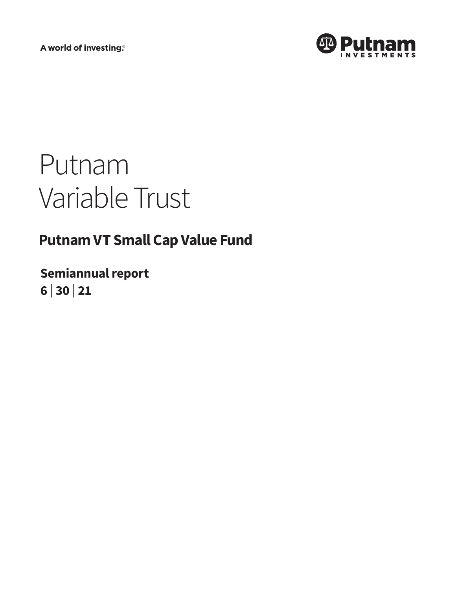A world of investing®



# Putnam Variable Trust

# **Putnam VT Small Cap Value Fund**

**Semiannual report 6 <sup>|</sup> 30 <sup>|</sup> 21**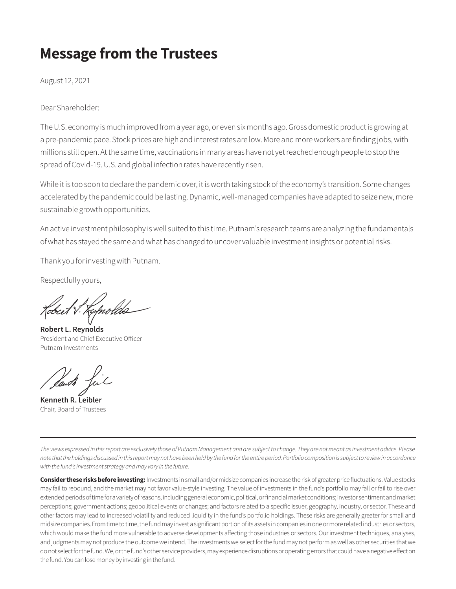# **Message from the Trustees**

August 12, 2021

Dear Shareholder:

The U.S. economy is much improved from a year ago, or even six months ago. Gross domestic product is growing at a pre-pandemic pace. Stock prices are high and interest rates are low. More and more workers are finding jobs, with millions still open. At the same time, vaccinations in many areas have not yet reached enough people to stop the spread of Covid-19. U.S. and global infection rates have recently risen.

While it is too soon to declare the pandemic over, it is worth taking stock of the economy's transition. Some changes accelerated by the pandemic could be lasting. Dynamic, well-managed companies have adapted to seize new, more sustainable growth opportunities.

An active investment philosophy is well suited to this time. Putnam's research teams are analyzing the fundamentals of what has stayed the same and what has changed to uncover valuable investment insights or potential risks.

Thank you for investing with Putnam.

Respectfully yours,

**Robert L. Reynolds** President and Chief Executive Officer Putnam Investments

**Kenneth R. Leibler** Chair, Board of Trustees

*The views expressed in this report are exclusively those of Putnam Management and are subject to change. They are not meant as investment advice. Please note that the holdings discussed in this report may not have been held by the fund for the entire period. Portfolio composition is subject to review in accordance with the fund's investment strategy and may vary in the future.*

**Consider these risks before investing:** Investments in small and/or midsize companies increase the risk of greater price fluctuations. Value stocks may fail to rebound, and the market may not favor value-style investing. The value of investments in the fund's portfolio may fall or fail to rise over extended periods of time for a variety of reasons, including general economic, political, or financial market conditions; investor sentiment and market perceptions; government actions; geopolitical events or changes; and factors related to a specific issuer, geography, industry, or sector. These and other factors may lead to increased volatility and reduced liquidity in the fund's portfolio holdings. These risks are generally greater for small and midsize companies. From time to time, the fund may invest a significant portion of its assets in companies in one or more related industries or sectors, which would make the fund more vulnerable to adverse developments affecting those industries or sectors. Our investment techniques, analyses, and judgments may not produce the outcome we intend. The investments we select for the fund may not perform as well as other securities that we do not select for the fund. We, or the fund's other service providers, may experience disruptions or operating errors that could have a negative effect on the fund. You can lose money by investing in the fund.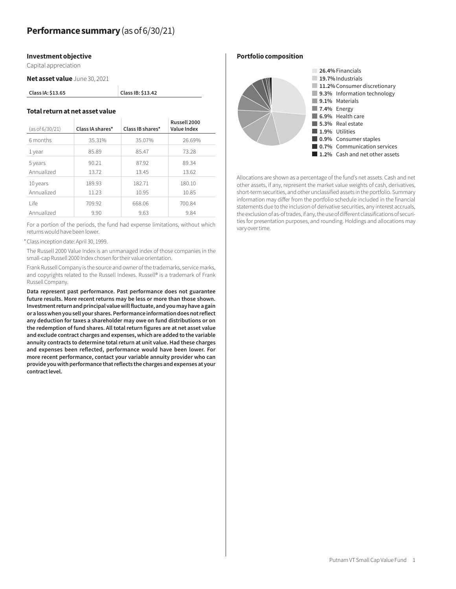#### **Investment objective**

Capital appreciation

**Net asset value** June 30, 2021

| Class IA: \$13.65 |  |
|-------------------|--|
|-------------------|--|

#### **Total return at net asset value**

| (as of 6/30/21) | Class IA shares* | Class IB shares* | Russell 2000<br>Value Index |
|-----------------|------------------|------------------|-----------------------------|
| 6 months        | 35.31%           | 35.07%           | 26.69%                      |
| 1 year          | 85.89            | 85.47            | 73.28                       |
| 5 years         | 90.21            | 87.92            | 89.34                       |
| Annualized      | 13.72            | 13.45            | 13.62                       |
| 10 years        | 189.93           | 182.71           | 180.10                      |
| Annualized      | 11.23            | 10.95            | 10.85                       |
| l ife           | 709.92           | 668.06           | 700.84                      |
| Annualized      | 9.90             | 9.63             | 9.84                        |

**Class IA: \$13.65 Class IB: \$13.42**

For a portion of the periods, the fund had expense limitations, without which returns would have been lower.

\*Class inception date: April 30, 1999.

The Russell 2000 Value Index is an unmanaged index of those companies in the small-cap Russell 2000 Index chosen for their value orientation.

Frank Russell Company is the source and owner of the trademarks, service marks, and copyrights related to the Russell Indexes. Russell® is a trademark of Frank Russell Company.

**Data represent past performance. Past performance does not guarantee future results. More recent returns may be less or more than those shown. Investment return and principal value will fluctuate, and you may have a gain or a loss when you sell your shares. Performance information does not reflect any deduction for taxes a shareholder may owe on fund distributions or on the redemption of fund shares. All total return figures are at net asset value and exclude contract charges and expenses, which are added to the variable annuity contracts to determine total return at unit value. Had these charges and expenses been reflected, performance would have been lower. For more recent performance, contact your variable annuity provider who can provide you with performance that reflects the charges and expenses at your contract level.**

**Portfolio composition**



Allocations are shown as a percentage of the fund's net assets. Cash and net other assets, if any, represent the market value weights of cash, derivatives, short-term securities, and other unclassified assets in the portfolio. Summary information may differ from the portfolio schedule included in the financial statements due to the inclusion of derivative securities, any interest accruals, the exclusion of as-of trades, if any, the use of different classifications of securities for presentation purposes, and rounding. Holdings and allocations may vary over time.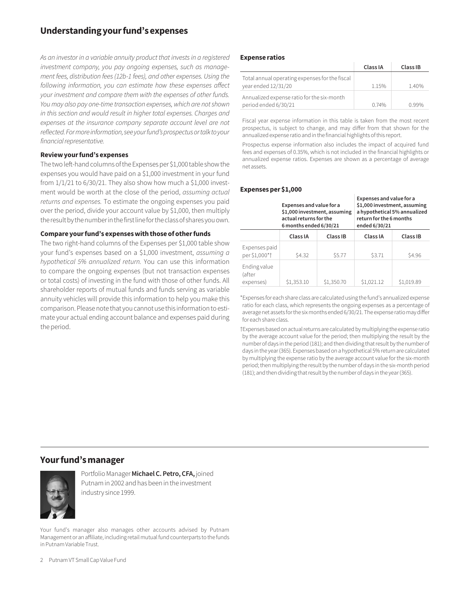# **Understanding your fund's expenses**

*As an investor in a variable annuity product that invests in a registered investment company, you pay ongoing expenses, such as management fees, distribution fees (12b-1 fees), and other expenses. Using the following information, you can estimate how these expenses affect your investment and compare them with the expenses of other funds. You may also pay one-time transaction expenses, which are not shown in this section and would result in higher total expenses. Charges and*  expenses at the insurance company separate account level are not *reflected. For more information, see your fund's prospectus or talk to your financial representative.*

#### **Review your fund's expenses**

The two left-hand columns of the Expenses per \$1,000 table show the expenses you would have paid on a \$1,000 investment in your fund from  $1/1/21$  to  $6/30/21$ . They also show how much a \$1,000 investment would be worth at the close of the period, *assuming actual returns and expenses.* To estimate the ongoing expenses you paid over the period, divide your account value by \$1,000, then multiply the result by the number in the first line for the class of shares you own.

#### **Compare your fund's expenses with those of other funds**

The two right-hand columns of the Expenses per \$1,000 table show your fund's expenses based on a \$1,000 investment, *assuming a hypothetical 5% annualized return.* You can use this information to compare the ongoing expenses (but not transaction expenses or total costs) of investing in the fund with those of other funds. All shareholder reports of mutual funds and funds serving as variable annuity vehicles will provide this information to help you make this comparison. Please note that you cannot use this information to estimate your actual ending account balance and expenses paid during the period.

#### **Expense ratios**

|                                                                       | Class IA | Class IB |
|-----------------------------------------------------------------------|----------|----------|
| Total annual operating expenses for the fiscal<br>year ended 12/31/20 | 115%     | 140%     |
| Annualized expense ratio for the six-month<br>period ended 6/30/21    | 0.74%    | N 99%    |

Fiscal year expense information in this table is taken from the most recent prospectus, is subject to change, and may differ from that shown for the annualized expense ratio and in the financial highlights of this report.

Prospectus expense information also includes the impact of acquired fund fees and expenses of 0.35%, which is not included in the financial highlights or annualized expense ratios. Expenses are shown as a percentage of average net assets.

#### **Expenses per \$1,000**

|                                     | Expenses and value for a<br>\$1,000 investment, assuming<br>actual returns for the<br>6 months ended 6/30/21 |            | Expenses and value for a<br>\$1,000 investment, assuming<br>return for the 6 months<br>ended 6/30/21 | a hypothetical 5% annualized |
|-------------------------------------|--------------------------------------------------------------------------------------------------------------|------------|------------------------------------------------------------------------------------------------------|------------------------------|
|                                     | Class IA                                                                                                     | Class IB   | Class IA                                                                                             | Class IB                     |
| Expenses paid<br>per \$1,000*†      | \$4.32                                                                                                       | \$5.77     | \$3.71                                                                                               | \$4.96                       |
| Ending value<br>(after<br>expenses) | \$1,353.10                                                                                                   | \$1,350.70 | \$1,021.12                                                                                           | \$1,019.89                   |

\*Expenses for each share class are calculated using the fund's annualized expense ratio for each class, which represents the ongoing expenses as a percentage of average net assets for the six months ended 6/30/21. The expense ratio may differ for each share class.

†Expenses based on actual returns are calculated by multiplying the expense ratio by the average account value for the period; then multiplying the result by the number of days in the period (181); and then dividing that result by the number of days in the year (365). Expenses based on a hypothetical 5% return are calculated by multiplying the expense ratio by the average account value for the six-month period; then multiplying the result by the number of days in the six-month period (181); and then dividing that result by the number of days in the year (365).

### **Your fund's manager**



Portfolio Manager **Michael C. Petro, CFA,** joined Putnam in 2002 and has been in the investment industry since 1999.

Your fund's manager also manages other accounts advised by Putnam Management or an affiliate, including retail mutual fund counterparts to the funds in Putnam Variable Trust.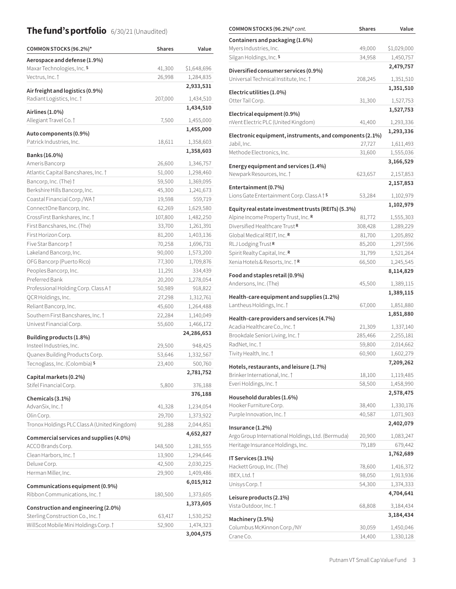# **The fund's portfolio** 6/30/21 (Unaudited)

| COMMON STOCKS (96.2%)*                                                     | <b>Shares</b>    | Value                  |
|----------------------------------------------------------------------------|------------------|------------------------|
| Aerospace and defense (1.9%)                                               |                  |                        |
| Maxar Technologies, Inc. S                                                 | 41,300           | \$1,648,696            |
| Vectrus, Inc. †                                                            | 26,998           | 1,284,835              |
| Air freight and logistics (0.9%)                                           |                  | 2,933,531              |
| Radiant Logistics, Inc. †                                                  | 207,000          | 1,434,510              |
|                                                                            |                  | 1,434,510              |
| Airlines (1.0%)                                                            |                  |                        |
| Allegiant Travel Co. †                                                     | 7,500            | 1,455,000              |
| Auto components (0.9%)                                                     |                  | 1,455,000              |
| Patrick Industries, Inc.                                                   | 18,611           | 1,358,603              |
| Banks (16.0%)                                                              |                  | 1,358,603              |
| Ameris Bancorp                                                             | 26,600           | 1,346,757              |
| Atlantic Capital Bancshares, Inc. 1                                        | 51,000           | 1,298,460              |
| Bancorp, Inc. (The) t                                                      | 59,500           | 1,369,095              |
| Berkshire Hills Bancorp, Inc.                                              | 45,300           | 1,241,673              |
| Coastal Financial Corp./WA1                                                | 19,598           | 559,719                |
| ConnectOne Bancorp, Inc.                                                   | 62,269           | 1,629,580              |
| CrossFirst Bankshares, Inc. 1                                              | 107,800          | 1,482,250              |
| First Bancshares, Inc. (The)                                               | 33,700           | 1,261,391              |
| First Horizon Corp.                                                        | 81,200           | 1,403,136              |
| Five Star Bancorp †                                                        | 70,258           | 1,696,731              |
| Lakeland Bancorp, Inc.                                                     | 90,000           | 1,573,200              |
| OFG Bancorp (Puerto Rico)                                                  | 77,300           | 1,709,876              |
| Peoples Bancorp, Inc.                                                      | 11,291           | 334,439                |
| Preferred Bank                                                             | 20,200           | 1,278,054              |
| Professional Holding Corp. Class A                                         | 50,989           | 918,822                |
| QCR Holdings, Inc.                                                         | 27,298           | 1,312,761              |
| Reliant Bancorp, Inc.                                                      | 45,600           | 1,264,488              |
| Southern First Bancshares, Inc. †                                          | 22,284           | 1,140,049              |
| Univest Financial Corp.                                                    | 55,600           | 1,466,172              |
|                                                                            |                  | 24,286,653             |
| Building products (1.8%)                                                   |                  |                        |
| Insteel Industries, Inc.                                                   | 29,500           | 948,425                |
| Quanex Building Products Corp.                                             | 53,646           | 1,332,567              |
| Tecnoglass, Inc. (Colombia) S                                              | 23,400           | 500,760                |
| Capital markets (0.2%)                                                     |                  | 2,781,752              |
| Stifel Financial Corp.                                                     | 5,800            | 376,188                |
| Chemicals (3.1%)                                                           |                  | 376,188                |
| AdvanSix, Inc. †                                                           | 41,328           | 1,234,054              |
| Olin Corp.                                                                 | 29,700           | 1,373,922              |
| Tronox Holdings PLC Class A (United Kingdom)                               | 91,288           | 2,044,851              |
|                                                                            |                  | 4,652,827              |
| Commercial services and supplies (4.0%)                                    |                  |                        |
| ACCO Brands Corp.                                                          | 148,500          | 1,281,555              |
| Clean Harbors, Inc. 1                                                      | 13,900           | 1,294,646              |
| Deluxe Corp.                                                               | 42,500           | 2,030,225              |
| Herman Miller, Inc.                                                        | 29,900           | 1,409,486              |
| Communications equipment (0.9%)                                            |                  | 6,015,912              |
| Ribbon Communications, Inc. 1                                              | 180,500          | 1,373,605              |
|                                                                            |                  | 1,373,605              |
| Construction and engineering (2.0%)                                        |                  |                        |
| Sterling Construction Co., Inc. 1<br>WillScot Mobile Mini Holdings Corp. † | 63,417<br>52,900 | 1,530,252<br>1,474,323 |
|                                                                            |                  |                        |
|                                                                            |                  | 3,004,575              |

| COMMON STOCKS (96.2%)* cont.                                               | <b>Shares</b> | Value       |
|----------------------------------------------------------------------------|---------------|-------------|
| Containers and packaging (1.6%)                                            |               |             |
| Myers Industries, Inc.                                                     | 49,000        | \$1,029,000 |
| Silgan Holdings, Inc. S                                                    | 34,958        | 1,450,757   |
|                                                                            |               | 2,479,757   |
| Diversified consumer services (0.9%)                                       |               |             |
| Universal Technical Institute, Inc. 1                                      | 208,245       | 1,351,510   |
| Electric utilities (1.0%)                                                  |               | 1,351,510   |
| Otter Tail Corp.                                                           | 31,300        | 1,527,753   |
| Electrical equipment (0.9%)                                                |               | 1,527,753   |
| nVent Electric PLC (United Kingdom)                                        | 41,400        | 1,293,336   |
|                                                                            |               | 1,293,336   |
| Electronic equipment, instruments, and components (2.1%)                   |               |             |
| Jabil, Inc.                                                                | 27,727        | 1,611,493   |
| Methode Electronics, Inc.                                                  | 31,600        | 1,555,036   |
| Energy equipment and services (1.4%)                                       |               | 3,166,529   |
| Newpark Resources, Inc. †                                                  | 623,657       | 2,157,853   |
|                                                                            |               | 2,157,853   |
| Entertainment (0.7%)                                                       |               |             |
| Lions Gate Entertainment Corp. Class A <sup>+</sup> S                      | 53,284        | 1,102,979   |
| Equity real estate investment trusts (REITs) (5.3%)                        |               | 1,102,979   |
| Alpine Income Property Trust, Inc. R                                       | 81,772        | 1,555,303   |
| Diversified Healthcare Trust R                                             | 308,428       | 1,289,229   |
| Global Medical REIT, Inc. R                                                | 81,700        | 1,205,892   |
| RLJ Lodging Trust R                                                        | 85,200        | 1,297,596   |
| Spirit Realty Capital, Inc. R                                              | 31,799        | 1,521,264   |
| Xenia Hotels & Resorts, Inc. <i>†</i> R                                    | 66,500        | 1,245,545   |
|                                                                            |               | 8,114,829   |
| Food and staples retail (0.9%)                                             |               |             |
| Andersons, Inc. (The)                                                      | 45,500        | 1,389,115   |
| Health-care equipment and supplies (1.2%)                                  |               | 1,389,115   |
| Lantheus Holdings, Inc. 1                                                  | 67,000        | 1,851,880   |
|                                                                            |               | 1,851,880   |
| Health-care providers and services (4.7%)<br>Acadia Healthcare Co., Inc. 1 |               |             |
| Brookdale Senior Living, Inc. †                                            | 21,309        | 1,337,140   |
| RadNet, Inc. †                                                             | 285,466       | 2,255,181   |
|                                                                            | 59,800        | 2,014,662   |
| Tivity Health, Inc. †                                                      | 60,900        | 1,602,279   |
| Hotels, restaurants, and leisure (1.7%)                                    |               | 7,209,262   |
| Brinker International, Inc. 1                                              | 18,100        | 1,119,485   |
| Everi Holdings, Inc. †                                                     | 58,500        | 1,458,990   |
| Household durables (1.6%)                                                  |               | 2,578,475   |
| Hooker Furniture Corp.                                                     | 38,400        | 1,330,176   |
| Purple Innovation, Inc. 1                                                  | 40,587        | 1,071,903   |
|                                                                            |               | 2,402,079   |
| Insurance $(1.2\%)$                                                        |               |             |
| Argo Group International Holdings, Ltd. (Bermuda)                          | 20,900        | 1,083,247   |
| Heritage Insurance Holdings, Inc.                                          | 79,189        | 679,442     |
| IT Services (3.1%)                                                         |               | 1,762,689   |
| Hackett Group, Inc. (The)                                                  | 78,600        | 1,416,372   |
| IBEX, Ltd. †                                                               | 98,050        | 1,913,936   |
| Unisys Corp. †                                                             | 54,300        | 1,374,333   |
|                                                                            |               | 4,704,641   |
| Leisure products (2.1%)                                                    |               |             |
| Vista Outdoor, Inc. †                                                      | 68,808        | 3,184,434   |
| Machinery (3.5%)                                                           |               | 3,184,434   |
| Columbus McKinnon Corp./NY                                                 | 30,059        | 1,450,046   |
| Crane Co.                                                                  | 14,400        | 1,330,128   |
|                                                                            |               |             |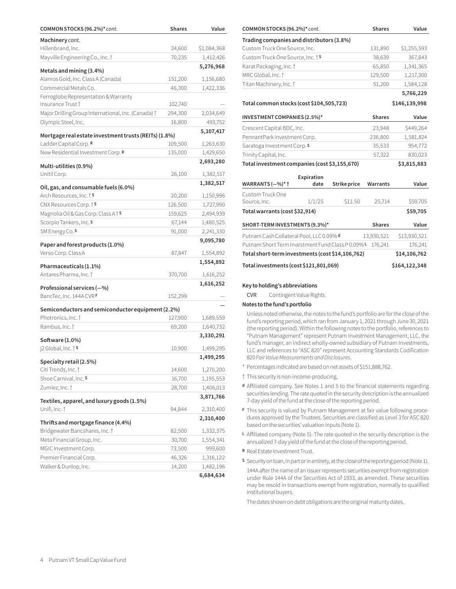| COMMON STOCKS (96.2%)* cont.                          | <b>Shares</b> | Value                  |
|-------------------------------------------------------|---------------|------------------------|
| Machinery cont.                                       |               |                        |
| Hillenbrand, Inc.                                     | 24,600        | \$1,084,368            |
| Mayville Engineering Co., Inc. †                      | 70,235        | 1,412,426              |
| Metals and mining (3.4%)                              |               | 5,276,968              |
| Alamos Gold, Inc. Class A (Canada)                    | 151,200       | 1,156,680              |
| Commercial Metals Co.                                 | 46,300        | 1,422,336              |
| Ferroglobe Representation & Warranty                  |               |                        |
| Insurance Trust †                                     | 102,740       |                        |
| Major Drilling Group International, Inc. (Canada) †   | 294,300       | 2,034,649              |
| Olympic Steel, Inc.                                   | 16,800        | 493,752                |
| Mortgage real estate investment trusts (REITs) (1.8%) |               | 5,107,417              |
| Ladder Capital Corp. R                                | 109,500       | 1,263,630              |
| New Residential Investment Corp. R                    | 135,000       | 1,429,650              |
|                                                       |               | 2,693,280              |
| Multi-utilities (0.9%)                                |               |                        |
| Unitil Corp.                                          | 26,100        | 1,382,517              |
| Oil, gas, and consumable fuels (6.0%)                 |               | 1,382,517              |
| Arch Resources, Inc. † S                              | 20,200        | 1,150,996              |
| CNX Resources Corp. <sup>† S</sup>                    | 126,500       | 1,727,990              |
| Magnolia Oil & Gas Corp. Class A t S                  | 159,625       | 2,494,939              |
| Scorpio Tankers, Inc. S                               | 67,144        | 1,480,525              |
| SM Energy Co. S                                       | 91,000        | 2,241,330              |
| Paper and forest products (1.0%)                      |               | 9,095,780              |
| Verso Corp. Class A                                   | 87,847        | 1,554,892              |
|                                                       |               | 1,554,892              |
| Pharmaceuticals (1.1%)                                |               |                        |
| Antares Pharma, Inc. †                                | 370,700       | 1,616,252              |
| Professional services (-%)                            |               | 1,616,252              |
| BancTec, Inc. 144A CVRF                               | 152,299       |                        |
| Semiconductors and semiconductor equipment (2.2%)     |               |                        |
| Photronics, Inc. †                                    | 127,900       | 1,689,559              |
| Rambus, Inc. †                                        | 69,200        | 1,640,732              |
|                                                       |               | 3,330,291              |
| Software (1.0%)                                       |               |                        |
| j2 Global, Inc. † S                                   | 10,900        | 1,499,295              |
| Specialty retail (2.5%)                               |               | 1,499,295              |
| Citi Trends, Inc. †                                   | 14,600        | 1,270,200              |
| Shoe Carnival, Inc. S                                 | 16,700        | 1,195,553              |
| Zumiez, Inc. †                                        | 28,700        | 1,406,013              |
| Textiles, apparel, and luxury goods (1.5%)            |               | 3,871,766              |
| Unifi, Inc. †                                         | 94,844        | 2,310,400              |
|                                                       |               | 2,310,400              |
| Thrifts and mortgage finance (4.4%)                   |               |                        |
| Bridgewater Bancshares, Inc. 1                        | 82,500        | 1,332,375              |
| Meta Financial Group, Inc.                            | 30,700        | 1,554,341              |
| MGIC Investment Corp.                                 | 73,500        | 999,600                |
| Premier Financial Corp.                               | 46,326        | 1,316,122              |
| Walker & Dunlop, Inc.                                 | 14,200        | 1,482,196<br>6,684,634 |
|                                                       |               |                        |

| Trading companies and distributors (3.8%)        |            |              |               |               |
|--------------------------------------------------|------------|--------------|---------------|---------------|
| Custom Truck One Source, Inc.                    |            |              | 131,890       | \$1,255,593   |
| Custom Truck One Source, Inc. <sup>† S</sup>     |            |              | 38,639        | 367,843       |
| Karat Packaging, Inc. 1                          |            |              | 65,850        | 1,341,365     |
| MRC Global, Inc. 1                               |            |              | 129,500       | 1,217,300     |
| Titan Machinery, Inc. †                          |            |              | 51,200        | 1,584,128     |
|                                                  |            |              |               | 5,766,229     |
| Total common stocks (cost \$104,505,723)         |            |              |               | \$146,139,998 |
| INVESTMENT COMPANIES (2.5%)*                     |            |              | <b>Shares</b> | Value         |
| Crescent Capital BDC, Inc.                       |            |              | 23,948        | \$449,264     |
| PennantPark Investment Corp.                     |            |              | 236,800       | 1,581,824     |
| Saratoga Investment Corp. S                      |            |              | 35,533        | 954,772       |
| Trinity Capital, Inc.                            |            |              | 57,322        | 830,023       |
| Total investment companies (cost \$3,155,670)    |            |              |               | \$3,815,883   |
|                                                  | Expiration |              |               |               |
| WARRANTS (-%)* †                                 | date       | Strike price | Warrants      | Value         |
| Custom Truck One                                 |            |              |               |               |
| Source, Inc.                                     | 1/1/25     | \$11.50      | 25,714        | \$59,705      |
| Total warrants (cost \$32,914)                   |            |              |               | \$59,705      |
| SHORT-TERM INVESTMENTS (9.3%)*                   |            |              | <b>Shares</b> | Value         |
| Putnam Cash Collateral Pool, LLC 0.09% d         |            |              | 13,930,521    | \$13,930,521  |
| Putnam Short Term Investment Fund Class P0.09%L  |            |              | 176,241       | 176,241       |
| Total short-term investments (cost \$14,106,762) |            |              |               | \$14,106,762  |
| Total investments (cost \$121,801,069)           |            |              |               | \$164,122,348 |

**COMMON STOCKS (96.2%)\*** *cont.* **Shares Value COMMON STOCKS (96.2%)\*** *cont.* **Shares Value**

#### **Key to holding's abbreviations**

CVR Contingent Value Rights

#### **Notes to the fund's portfolio**

Unless noted otherwise, the notes to the fund's portfolio are for the close of the fund's reporting period, which ran from January 1, 2021 through June 30, 2021 (the reporting period). Within the following notes to the portfolio, references to "Putnam Management" represent Putnam Investment Management, LLC, the fund's manager, an indirect wholly-owned subsidiary of Putnam Investments, LLC and references to "ASC 820" represent Accounting Standards Codification 820 *Fair Value Measurements and Disclosures*.

- \* Percentages indicated are based on net assets of \$151,888,762.
- † This security is non-income-producing.
- **<sup>d</sup>** Affiliated company. See Notes 1 and 5 to the financial statements regarding securities lending. The rate quoted in the security description is the annualized 7-day yield of the fund at the close of the reporting period.
- **<sup>F</sup>** This security is valued by Putnam Management at fair value following procedures approved by the Trustees. Securities are classified as Level 3 for ASC 820 based on the securities' valuation inputs (Note 1).
- **<sup>L</sup>** Affiliated company (Note 5). The rate quoted in the security description is the annualized 7-day yield of the fund at the close of the reporting period.
- **<sup>R</sup>** Real Estate Investment Trust.
- **<sup>S</sup>** Security on loan, in part or in entirety, at the close of the reporting period (Note 1).
- 144A after the name of an issuer represents securities exempt from registration under Rule 144A of the Securities Act of 1933, as amended. These securities may be resold in transactions exempt from registration, normally to qualified institutional buyers.

The dates shown on debt obligations are the original maturity dates.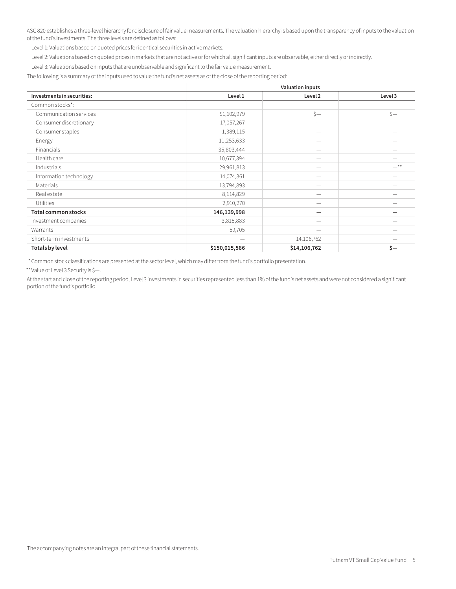ASC 820 establishes a three-level hierarchy for disclosure of fair value measurements. The valuation hierarchy is based upon the transparency of inputs to the valuation of the fund's investments. The three levels are defined as follows:

Level 1: Valuations based on quoted prices for identical securities in active markets.

Level 2: Valuations based on quoted prices in markets that are not active or for which all significant inputs are observable, either directly or indirectly.

Level 3: Valuations based on inputs that are unobservable and significant to the fair value measurement.

The following is a summary of the inputs used to value the fund's net assets as of the close of the reporting period:

|                            |                    | <b>Valuation inputs</b>  |          |  |
|----------------------------|--------------------|--------------------------|----------|--|
| Investments in securities: | Level 1<br>Level 2 |                          | Level 3  |  |
| Common stocks*:            |                    |                          |          |  |
| Communication services     | \$1,102,979        | $s-$                     | $\zeta-$ |  |
| Consumer discretionary     | 17,057,267         |                          |          |  |
| Consumer staples           | 1,389,115          | $\overline{\phantom{0}}$ |          |  |
| Energy                     | 11,253,633         | $\overline{\phantom{a}}$ |          |  |
| Financials                 | 35,803,444         | -                        |          |  |
| Health care                | 10,677,394         | --                       |          |  |
| Industrials                | 29,961,813         | -                        | $* *$    |  |
| Information technology     | 14,074,361         | -                        |          |  |
| Materials                  | 13,794,893         |                          |          |  |
| Real estate                | 8,114,829          |                          |          |  |
| Utilities                  | 2,910,270          |                          |          |  |
| <b>Total common stocks</b> | 146,139,998        |                          |          |  |
| Investment companies       | 3,815,883          |                          |          |  |
| Warrants                   | 59,705             | -                        |          |  |
| Short-term investments     |                    | 14,106,762               |          |  |
| Totals by level            | \$150,015,586      | \$14,106,762             | $\zeta-$ |  |

\* Common stock classifications are presented at the sector level, which may differ from the fund's portfolio presentation.

\*\*Value of Level 3 Security is \$—.

At the start and close of the reporting period, Level 3 investments in securities represented less than 1% of the fund's net assets and were not considered a significant portion of the fund's portfolio.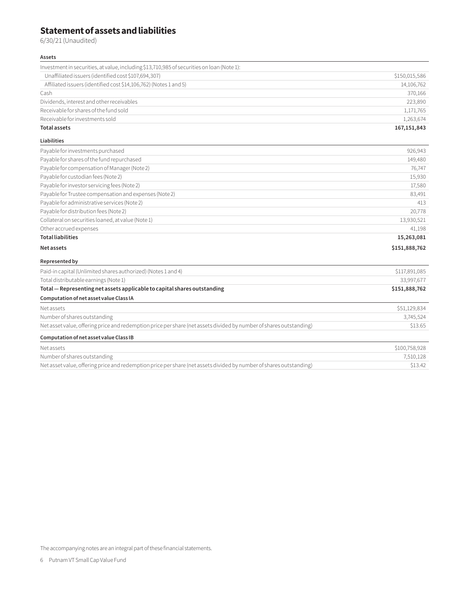# **Statement of assets and liabilities**

6/30/21 (Unaudited)

#### **Assets**

| Investment in securities, at value, including \$13,710,985 of securities on loan (Note 1): |               |
|--------------------------------------------------------------------------------------------|---------------|
| Unaffiliated issuers (identified cost \$107,694,307)                                       | \$150,015,586 |
| Affiliated issuers (identified cost \$14,106,762) (Notes 1 and 5)                          | 14,106,762    |
| Cash                                                                                       | 370.166       |
| Dividends, interest and other receivables                                                  | 223,890       |
| Receivable for shares of the fund sold                                                     | 1,171,765     |
| Receivable for investments sold                                                            | 1,263,674     |
| <b>Total assets</b>                                                                        | 167, 151, 843 |

#### **Liabilities**

| Payable for investments purchased                      | 926,943       |
|--------------------------------------------------------|---------------|
| Payable for shares of the fund repurchased             | 149,480       |
| Payable for compensation of Manager (Note 2)           | 76,747        |
| Payable for custodian fees (Note 2)                    | 15,930        |
| Payable for investor servicing fees (Note 2)           | 17,580        |
| Payable for Trustee compensation and expenses (Note 2) | 83,491        |
| Payable for administrative services (Note 2)           | 413           |
| Payable for distribution fees (Note 2)                 | 20,778        |
| Collateral on securities loaned, at value (Note 1)     | 13,930,521    |
| Other accrued expenses                                 | 41,198        |
| <b>Total liabilities</b>                               | 15,263,081    |
| Net assets                                             | \$151,888,762 |

#### **Represented by**

| Paid-in capital (Unlimited shares authorized) (Notes 1 and 4)                                                       | \$117,891,085 |
|---------------------------------------------------------------------------------------------------------------------|---------------|
| Total distributable earnings (Note 1)                                                                               | 33,997,677    |
| Total - Representing net assets applicable to capital shares outstanding                                            | \$151,888,762 |
| Computation of net asset value Class IA                                                                             |               |
| Net assets                                                                                                          | \$51,129,834  |
| Number of shares outstanding                                                                                        | 3,745,524     |
| Net asset value, offering price and redemption price per share (net assets divided by number of shares outstanding) | \$13.65       |
| Computation of net asset value Class IB                                                                             |               |
| Net assets                                                                                                          | \$100,758,928 |
| Number of shares outstanding                                                                                        | 7,510,128     |
| Net asset value, offering price and redemption price per share (net assets divided by number of shares outstanding) | \$13.42       |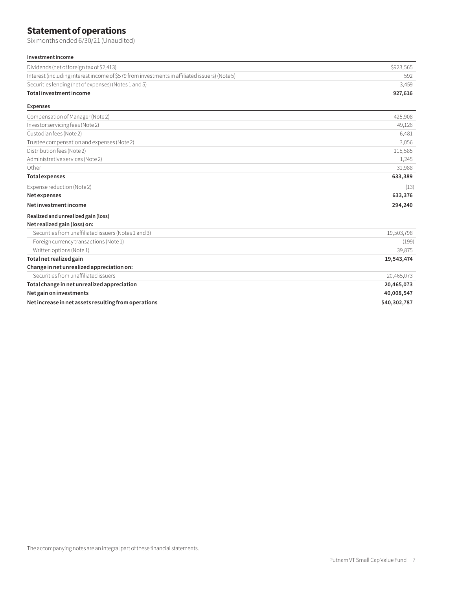# **Statement of operations**

Six months ended 6/30/21 (Unaudited)

#### **Investment income**

| Dividends (net of foreign tax of \$2,413)                                                     | \$923.565 |
|-----------------------------------------------------------------------------------------------|-----------|
| Interest (including interest income of \$579 from investments in affiliated issuers) (Note 5) | 592       |
| Securities lending (net of expenses) (Notes 1 and 5)                                          | 3,459     |
| Total investment income                                                                       | 927,616   |
| <b>Expenses</b>                                                                               |           |

| Compensation of Manager (Note 2)                     | 425,908    |
|------------------------------------------------------|------------|
| Investor servicing fees (Note 2)                     | 49,126     |
| Custodian fees (Note 2)                              | 6,481      |
| Trustee compensation and expenses (Note 2)           | 3,056      |
| Distribution fees (Note 2)                           | 115,585    |
| Administrative services (Note 2)                     | 1,245      |
| Other                                                | 31,988     |
| <b>Total expenses</b>                                | 633,389    |
| Expense reduction (Note 2)                           | (13)       |
| Net expenses                                         | 633,376    |
| Net investment income                                | 294,240    |
| Realized and unrealized gain (loss)                  |            |
| Net realized gain (loss) on:                         |            |
| Securities from unaffiliated issuers (Notes 1 and 3) | 19,503,798 |
| Foreign currency transactions (Note 1)               | (199)      |
| Written options (Note 1)                             | 39,875     |
| Total net realized gain                              | 19,543,474 |
| Change in net unrealized appreciation on:            |            |
| Securities from unaffiliated issuers                 | 20,465,073 |

#### **Total change in net unrealized appreciation 20,465,073**

**Net gain on investments 40,008,547** 

**Net increase in net assets resulting from operations \$40,302,787**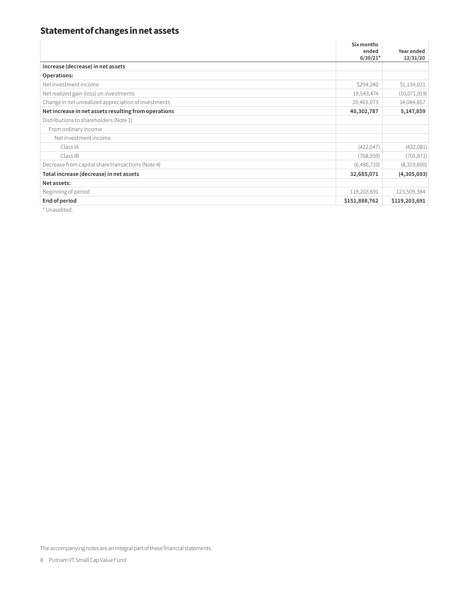# **Statement of changes in net assets**

|                                                      | Six months<br>ended | Year ended    |
|------------------------------------------------------|---------------------|---------------|
|                                                      | $6/30/21*$          | 12/31/20      |
| Increase (decrease) in net assets                    |                     |               |
| Operations:                                          |                     |               |
| Net investment income                                | \$294,240           | \$1,134,021   |
| Net realized gain (loss) on investments              | 19,543,474          | (10,071,019)  |
| Change in net unrealized appreciation of investments | 20,465,073          | 14,084,857    |
| Net increase in net assets resulting from operations | 40,302,787          | 5,147,859     |
| Distributions to shareholders (Note 1):              |                     |               |
| From ordinary income                                 |                     |               |
| Net investment income                                |                     |               |
| Class IA                                             | (422, 047)          | (432,081)     |
| Class IB                                             | (708, 959)          | (701, 871)    |
| Decrease from capital share transactions (Note 4)    | (6,486,710)         | (8,319,600)   |
| Total increase (decrease) in net assets              | 32,685,071          | (4,305,693)   |
| Net assets:                                          |                     |               |
| Beginning of period                                  | 119,203,691         | 123,509,384   |
| End of period                                        | \$151,888,762       | \$119,203,691 |

\* Unaudited.

The accompanying notes are an integral part of these financial statements.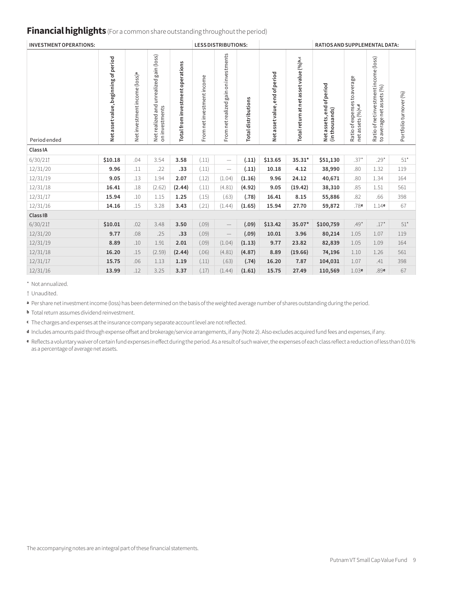## **Financial highlights** (For a common share outstanding throughout the period)

| <b>INVESTMENT OPERATIONS:</b> |                                      |                                           |                                                                   | <b>LESS DISTRIBUTIONS:</b>       |                            | <b>RATIOS AND SUPPLEMENTAL DATA:</b>  |                            |                                   |                                        |                                            |                                                  |                                                                    |                       |
|-------------------------------|--------------------------------------|-------------------------------------------|-------------------------------------------------------------------|----------------------------------|----------------------------|---------------------------------------|----------------------------|-----------------------------------|----------------------------------------|--------------------------------------------|--------------------------------------------------|--------------------------------------------------------------------|-----------------------|
| Period ended                  | Net asset value, beginning of period | Net investment income (loss) <sup>a</sup> | gain (loss)<br>unrealized<br>and<br>on investments<br>Netrealized | Total from investment operations | From net investment income | From net realized gain on investments | <b>Total distributions</b> | end of period<br>Net asset value, | Total return at net asset value (%)b,c | Netassets, end of period<br>(in thousands) | Ratio of expenses to average<br>netassets (%)c,d | Ratio of net investment income (loss)<br>to average net assets (%) | Portfolioturnover (%) |
| Class IA                      |                                      |                                           |                                                                   |                                  |                            |                                       |                            |                                   |                                        |                                            |                                                  |                                                                    |                       |
| 6/30/21                       | \$10.18                              | .04                                       | 3.54                                                              | 3.58                             | (.11)                      | $\overline{\phantom{m}}$              | (.11)                      | \$13.65                           | 35.31*                                 | \$51,130                                   | $.37*$                                           | $.29*$                                                             | $51*$                 |
| 12/31/20                      | 9.96                                 | .11                                       | .22                                                               | .33                              | (.11)                      | $\overline{\phantom{m}}$              | (.11)                      | 10.18                             | 4.12                                   | 38,990                                     | .80                                              | 1.32                                                               | 119                   |
| 12/31/19                      | 9.05                                 | .13                                       | 1.94                                                              | 2.07                             | (.12)                      | (1.04)                                | (1.16)                     | 9.96                              | 24.12                                  | 40,671                                     | .80                                              | 1.34                                                               | 164                   |
| 12/31/18                      | 16.41                                | .18                                       | (2.62)                                                            | (2.44)                           | (.11)                      | (4.81)                                | (4.92)                     | 9.05                              | (19.42)                                | 38,310                                     | .85                                              | 1.51                                                               | 561                   |
| 12/31/17                      | 15.94                                | .10                                       | 1.15                                                              | 1.25                             | (.15)                      | (.63)                                 | (.78)                      | 16.41                             | 8.15                                   | 55,886                                     | .82                                              | .66                                                                | 398                   |
| 12/31/16                      | 14.16                                | .15                                       | 3.28                                                              | 3.43                             | (.21)                      | (1.44)                                | (1.65)                     | 15.94                             | 27.70                                  | 59,872                                     | .78e                                             | 1.14e                                                              | 67                    |
| Class IB                      |                                      |                                           |                                                                   |                                  |                            |                                       |                            |                                   |                                        |                                            |                                                  |                                                                    |                       |
| 6/30/21                       | \$10.01                              | .02                                       | 3.48                                                              | 3.50                             | (.09)                      | $\overline{\phantom{m}}$              | (.09)                      | \$13.42                           | 35.07*                                 | \$100,759                                  | $.49*$                                           | $.17*$                                                             | $51*$                 |
| 12/31/20                      | 9.77                                 | .08                                       | .25                                                               | .33                              | (.09)                      | $\overline{\phantom{0}}$              | (.09)                      | 10.01                             | 3.96                                   | 80,214                                     | 1.05                                             | 1.07                                                               | 119                   |
| 12/31/19                      | 8.89                                 | .10                                       | 1.91                                                              | 2.01                             | (.09)                      | (1.04)                                | (1.13)                     | 9.77                              | 23.82                                  | 82,839                                     | 1.05                                             | 1.09                                                               | 164                   |
| 12/31/18                      | 16.20                                | .15                                       | (2.59)                                                            | (2.44)                           | (.06)                      | (4.81)                                | (4.87)                     | 8.89                              | (19.66)                                | 74,196                                     | 1.10                                             | 1.26                                                               | 561                   |
| 12/31/17                      | 15.75                                | .06                                       | 1.13                                                              | 1.19                             | (.11)                      | (.63)                                 | (.74)                      | 16.20                             | 7.87                                   | 104,031                                    | 1.07                                             | .41                                                                | 398                   |
| 12/31/16                      | 13.99                                | .12                                       | 3.25                                                              | 3.37                             | (.17)                      | (1.44)                                | (1.61)                     | 15.75                             | 27.49                                  | 110,569                                    | 1.03e                                            | .89e                                                               | 67                    |

\* Not annualized.

† Unaudited.

**<sup>a</sup>** Per share net investment income (loss) has been determined on the basis of the weighted average number of shares outstanding during the period.

**<sup>b</sup>** Total return assumes dividend reinvestment.

**<sup>c</sup>** The charges and expenses at the insurance company separate account level are not reflected.

**<sup>d</sup>** Includes amounts paid through expense offset and brokerage/service arrangements, if any (Note 2). Also excludes acquired fund fees and expenses, if any.

**<sup>e</sup>** Reflects a voluntary waiver of certain fund expenses in effect during the period. As a result of such waiver, the expenses of each class reflect a reduction of less than 0.01% as a percentage of average net assets.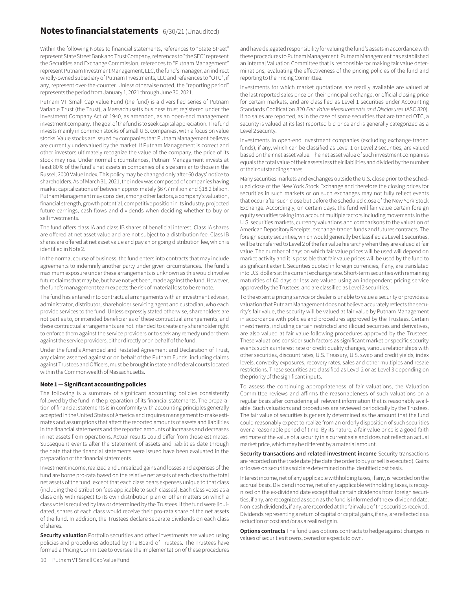### **Notes to financial statements** 6/30/21 (Unaudited)

Within the following Notes to financial statements, references to "State Street" represent State Street Bank and Trust Company, references to "the SEC" represent the Securities and Exchange Commission, references to "Putnam Management" represent Putnam Investment Management, LLC, the fund's manager, an indirect wholly-owned subsidiary of Putnam Investments, LLC and references to "OTC", if any, represent over-the-counter. Unless otherwise noted, the "reporting period" represents the period from January 1, 2021 through June 30, 2021.

Putnam VT Small Cap Value Fund (the fund) is a diversified series of Putnam Variable Trust (the Trust), a Massachusetts business trust registered under the Investment Company Act of 1940, as amended, as an open-end management investment company. The goal of the fund is to seek capital appreciation. The fund invests mainly in common stocks of small U.S. companies, with a focus on value stocks. Value stocks are issued by companies that Putnam Management believes are currently undervalued by the market. If Putnam Management is correct and other investors ultimately recognize the value of the company, the price of its stock may rise. Under normal circumstances, Putnam Management invests at least 80% of the fund's net assets in companies of a size similar to those in the Russell 2000 Value Index. This policy may be changed only after 60 days' notice to shareholders. As of March 31, 2021, the index was composed of companies having market capitalizations of between approximately \$67.7 million and \$18.2 billion. Putnam Management may consider, among other factors, a company's valuation, financial strength, growth potential, competitive position in its industry, projected future earnings, cash flows and dividends when deciding whether to buy or sell investments.

The fund offers class IA and class IB shares of beneficial interest. Class IA shares are offered at net asset value and are not subject to a distribution fee. Class IB shares are offered at net asset value and pay an ongoing distribution fee, which is identified in Note 2.

In the normal course of business, the fund enters into contracts that may include agreements to indemnify another party under given circumstances. The fund's maximum exposure under these arrangements is unknown as this would involve future claims that may be, but have not yet been, made against the fund. However, the fund's management team expects the risk of material loss to be remote.

The fund has entered into contractual arrangements with an investment adviser, administrator, distributor, shareholder servicing agent and custodian, who each provide services to the fund. Unless expressly stated otherwise, shareholders are not parties to, or intended beneficiaries of these contractual arrangements, and these contractual arrangements are not intended to create any shareholder right to enforce them against the service providers or to seek any remedy under them against the service providers, either directly or on behalf of the fund.

Under the fund's Amended and Restated Agreement and Declaration of Trust, any claims asserted against or on behalf of the Putnam Funds, including claims against Trustees and Officers, must be brought in state and federal courts located within the Commonwealth of Massachusetts.

#### **Note 1 — Significant accounting policies**

The following is a summary of significant accounting policies consistently followed by the fund in the preparation of its financial statements. The preparation of financial statements is in conformity with accounting principles generally accepted in the United States of America and requires management to make estimates and assumptions that affect the reported amounts of assets and liabilities in the financial statements and the reported amounts of increases and decreases in net assets from operations. Actual results could differ from those estimates. Subsequent events after the Statement of assets and liabilities date through the date that the financial statements were issued have been evaluated in the preparation of the financial statements.

Investment income, realized and unrealized gains and losses and expenses of the fund are borne pro-rata based on the relative net assets of each class to the total net assets of the fund, except that each class bears expenses unique to that class (including the distribution fees applicable to such classes). Each class votes as a class only with respect to its own distribution plan or other matters on which a class vote is required by law or determined by the Trustees. If the fund were liquidated, shares of each class would receive their pro-rata share of the net assets of the fund. In addition, the Trustees declare separate dividends on each class of shares.

**Security valuation** Portfolio securities and other investments are valued using policies and procedures adopted by the Board of Trustees. The Trustees have formed a Pricing Committee to oversee the implementation of these procedures

and have delegated responsibility for valuing the fund's assets in accordance with these procedures to Putnam Management. Putnam Management has established an internal Valuation Committee that is responsible for making fair value determinations, evaluating the effectiveness of the pricing policies of the fund and reporting to the Pricing Committee.

Investments for which market quotations are readily available are valued at the last reported sales price on their principal exchange, or official closing price for certain markets, and are classified as Level 1 securities under Accounting Standards Codification 820 *Fair Value Measurements and Disclosures* (ASC 820). If no sales are reported, as in the case of some securities that are traded OTC, a security is valued at its last reported bid price and is generally categorized as a Level 2 security.

Investments in open-end investment companies (excluding exchange-traded funds), if any, which can be classified as Level 1 or Level 2 securities, are valued based on their net asset value. The net asset value of such investment companies equals the total value of their assets less their liabilities and divided by the number of their outstanding shares.

Many securities markets and exchanges outside the U.S. close prior to the scheduled close of the New York Stock Exchange and therefore the closing prices for securities in such markets or on such exchanges may not fully reflect events that occur after such close but before the scheduled close of the New York Stock Exchange. Accordingly, on certain days, the fund will fair value certain foreign equity securities taking into account multiple factors including movements in the U.S. securities markets, currency valuations and comparisons to the valuation of American Depository Receipts, exchange-traded funds and futures contracts. The foreign equity securities, which would generally be classified as Level 1 securities, will be transferred to Level 2 of the fair value hierarchy when they are valued at fair value. The number of days on which fair value prices will be used will depend on market activity and it is possible that fair value prices will be used by the fund to a significant extent. Securities quoted in foreign currencies, if any, are translated into U.S. dollars at the current exchange rate. Short-term securities with remaining maturities of 60 days or less are valued using an independent pricing service approved by the Trustees, and are classified as Level 2 securities.

To the extent a pricing service or dealer is unable to value a security or provides a valuation that Putnam Management does not believe accurately reflects the security's fair value, the security will be valued at fair value by Putnam Management in accordance with policies and procedures approved by the Trustees. Certain investments, including certain restricted and illiquid securities and derivatives, are also valued at fair value following procedures approved by the Trustees. These valuations consider such factors as significant market or specific security events such as interest rate or credit quality changes, various relationships with other securities, discount rates, U.S. Treasury, U.S. swap and credit yields, index levels, convexity exposures, recovery rates, sales and other multiples and resale restrictions. These securities are classified as Level 2 or as Level 3 depending on the priority of the significant inputs.

To assess the continuing appropriateness of fair valuations, the Valuation Committee reviews and affirms the reasonableness of such valuations on a regular basis after considering all relevant information that is reasonably available. Such valuations and procedures are reviewed periodically by the Trustees. The fair value of securities is generally determined as the amount that the fund could reasonably expect to realize from an orderly disposition of such securities over a reasonable period of time. By its nature, a fair value price is a good faith estimate of the value of a security in a current sale and does not reflect an actual market price, which may be different by a material amount.

**Security transactions and related investment income** Security transactions are recorded on the trade date (the date the order to buy or sell is executed). Gains or losses on securities sold are determined on the identified cost basis.

Interest income, net of any applicable withholding taxes, if any, is recorded on the accrual basis. Dividend income, net of any applicable withholding taxes, is recognized on the ex-dividend date except that certain dividends from foreign securities, if any, are recognized as soon as the fund is informed of the ex-dividend date. Non-cash dividends, if any, are recorded at the fair value of the securities received. Dividends representing a return of capital or capital gains, if any, are reflected as a reduction of cost and/or as a realized gain.

**Options contracts** The fund uses options contracts to hedge against changes in values of securities it owns, owned or expects to own.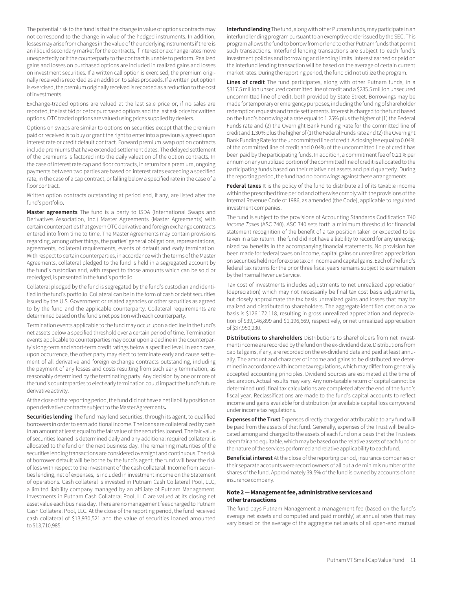The potential risk to the fund is that the change in value of options contracts may not correspond to the change in value of the hedged instruments. In addition, losses may arise from changes in the value of the underlying instruments if there is an illiquid secondary market for the contracts, if interest or exchange rates move unexpectedly or if the counterparty to the contract is unable to perform. Realized gains and losses on purchased options are included in realized gains and losses on investment securities. If a written call option is exercised, the premium originally received is recorded as an addition to sales proceeds. If a written put option is exercised, the premium originally received is recorded as a reduction to the cost of investments.

Exchange-traded options are valued at the last sale price or, if no sales are reported, the last bid price for purchased options and the last ask price for written options. OTC traded options are valued using prices supplied by dealers.

Options on swaps are similar to options on securities except that the premium paid or received is to buy or grant the right to enter into a previously agreed upon interest rate or credit default contract. Forward premium swap option contracts include premiums that have extended settlement dates. The delayed settlement of the premiums is factored into the daily valuation of the option contracts. In the case of interest rate cap and floor contracts, in return for a premium, ongoing payments between two parties are based on interest rates exceeding a specified rate, in the case of a cap contract, or falling below a specified rate in the case of a floor contract.

Written option contracts outstanding at period end, if any, are listed after the fund's portfolio**.**

**Master agreements** The fund is a party to ISDA (International Swaps and Derivatives Association, Inc.) Master Agreements (Master Agreements) with certain counterparties that govern OTC derivative and foreign exchange contracts entered into from time to time. The Master Agreements may contain provisions regarding, among other things, the parties' general obligations, representations, agreements, collateral requirements, events of default and early termination. With respect to certain counterparties, in accordance with the terms of the Master Agreements, collateral pledged to the fund is held in a segregated account by the fund's custodian and, with respect to those amounts which can be sold or repledged, is presented in the fund's portfolio.

Collateral pledged by the fund is segregated by the fund's custodian and identified in the fund's portfolio. Collateral can be in the form of cash or debt securities issued by the U.S. Government or related agencies or other securities as agreed to by the fund and the applicable counterparty. Collateral requirements are determined based on the fund's net position with each counterparty.

Termination events applicable to the fund may occur upon a decline in the fund's net assets below a specified threshold over a certain period of time. Termination events applicable to counterparties may occur upon a decline in the counterparty's long-term and short-term credit ratings below a specified level. In each case, upon occurrence, the other party may elect to terminate early and cause settlement of all derivative and foreign exchange contracts outstanding, including the payment of any losses and costs resulting from such early termination, as reasonably determined by the terminating party. Any decision by one or more of the fund's counterparties to elect early termination could impact the fund's future derivative activity.

At the close of the reporting period, the fund did not have a net liability position on open derivative contracts subject to the Master Agreements**.**

**Securities lending** The fund may lend securities, through its agent, to qualified borrowers in order to earn additional income. The loans are collateralized by cash in an amount at least equal to the fair value of the securities loaned. The fair value of securities loaned is determined daily and any additional required collateral is allocated to the fund on the next business day. The remaining maturities of the securities lending transactions are considered overnight and continuous. The risk of borrower default will be borne by the fund's agent; the fund will bear the risk of loss with respect to the investment of the cash collateral. Income from securities lending, net of expenses, is included in investment income on the Statement of operations. Cash collateral is invested in Putnam Cash Collateral Pool, LLC, a limited liability company managed by an affiliate of Putnam Management. Investments in Putnam Cash Collateral Pool, LLC are valued at its closing net asset value each business day. There are no management fees charged to Putnam Cash Collateral Pool, LLC. At the close of the reporting period, the fund received cash collateral of \$13,930,521 and the value of securities loaned amounted to \$13,710,985.

**Interfund lending** The fund, along with other Putnam funds, may participate in an interfund lending program pursuant to an exemptive order issued by the SEC. This program allows the fund to borrow from or lend to other Putnam funds that permit such transactions. Interfund lending transactions are subject to each fund's investment policies and borrowing and lending limits. Interest earned or paid on the interfund lending transaction will be based on the average of certain current market rates. During the reporting period, the fund did not utilize the program.

**Lines of credit** The fund participates, along with other Putnam funds, in a \$317.5 million unsecured committed line of credit and a \$235.5 million unsecured uncommitted line of credit, both provided by State Street. Borrowings may be made for temporary or emergency purposes, including the funding of shareholder redemption requests and trade settlements. Interest is charged to the fund based on the fund's borrowing at a rate equal to 1.25% plus the higher of (1) the Federal Funds rate and (2) the Overnight Bank Funding Rate for the committed line of credit and 1.30% plus the higher of (1) the Federal Funds rate and (2) the Overnight Bank Funding Rate for the uncommitted line of credit. A closing fee equal to 0.04% of the committed line of credit and 0.04% of the uncommitted line of credit has been paid by the participating funds. In addition, a commitment fee of 0.21% per annum on any unutilized portion of the committed line of credit is allocated to the participating funds based on their relative net assets and paid quarterly. During the reporting period, the fund had no borrowings against these arrangements.

**Federal taxes** It is the policy of the fund to distribute all of its taxable income within the prescribed time period and otherwise comply with the provisions of the Internal Revenue Code of 1986, as amended (the Code), applicable to regulated investment companies.

The fund is subject to the provisions of Accounting Standards Codification 740 *Income Taxes* (ASC 740). ASC 740 sets forth a minimum threshold for financial statement recognition of the benefit of a tax position taken or expected to be taken in a tax return. The fund did not have a liability to record for any unrecognized tax benefits in the accompanying financial statements. No provision has been made for federal taxes on income, capital gains or unrealized appreciation on securities held nor for excise tax on income and capital gains. Each of the fund's federal tax returns for the prior three fiscal years remains subject to examination by the Internal Revenue Service.

Tax cost of investments includes adjustments to net unrealized appreciation (depreciation) which may not necessarily be final tax cost basis adjustments, but closely approximate the tax basis unrealized gains and losses that may be realized and distributed to shareholders. The aggregate identified cost on a tax basis is \$126,172,118, resulting in gross unrealized appreciation and depreciation of \$39,146,899 and \$1,196,669, respectively, or net unrealized appreciation of \$37,950,230.

**Distributions to shareholders** Distributions to shareholders from net investment income are recorded by the fund on the ex-dividend date. Distributions from capital gains, if any, are recorded on the ex-dividend date and paid at least annually. The amount and character of income and gains to be distributed are determined in accordance with income tax regulations, which may differ from generally accepted accounting principles. Dividend sources are estimated at the time of declaration. Actual results may vary. Any non-taxable return of capital cannot be determined until final tax calculations are completed after the end of the fund's fiscal year. Reclassifications are made to the fund's capital accounts to reflect income and gains available for distribution (or available capital loss carryovers) under income tax regulations.

**Expenses of the Trust** Expenses directly charged or attributable to any fund will be paid from the assets of that fund. Generally, expenses of the Trust will be allocated among and charged to the assets of each fund on a basis that the Trustees deem fair and equitable, which may be based on the relative assets of each fund or the nature of the services performed and relative applicability to each fund.

**Beneficial interest** At the close of the reporting period, insurance companies or their separate accounts were record owners of all but a de minimis number of the shares of the fund. Approximately 39.5% of the fund is owned by accounts of one insurance company.

#### **Note 2 — Management fee, administrative services and other transactions**

The fund pays Putnam Management a management fee (based on the fund's average net assets and computed and paid monthly) at annual rates that may vary based on the average of the aggregate net assets of all open-end mutual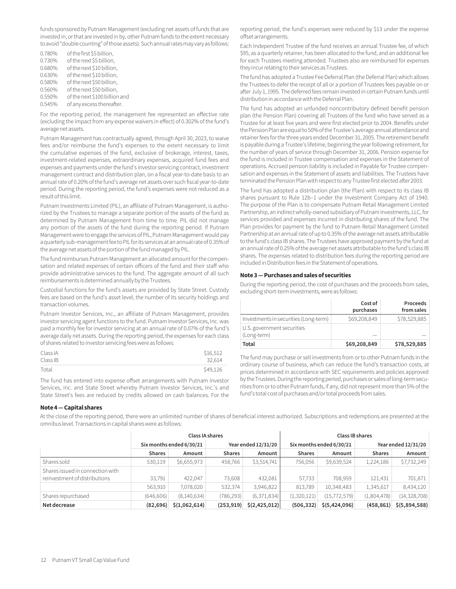funds sponsored by Putnam Management (excluding net assets of funds that are invested in, or that are invested in by, other Putnam funds to the extent necessary to avoid "double counting" of those assets). Such annual rates may vary as follows:

| 0.780% | of the first \$5 billion,     |
|--------|-------------------------------|
| 0.730% | of the next \$5 billion,      |
| 0.680% | of the next \$10 billion,     |
| 0.630% | of the next \$10 billion,     |
| 0.580% | of the next \$50 billion,     |
| 0.560% | of the next \$50 billion,     |
| 0.550% | of the next \$100 billion and |
| 0.545% | of any excess thereafter.     |

For the reporting period, the management fee represented an effective rate (excluding the impact from any expense waivers in effect) of 0.302% of the fund's average net assets.

Putnam Management has contractually agreed, through April 30, 2023, to waive fees and/or reimburse the fund's expenses to the extent necessary to limit the cumulative expenses of the fund, exclusive of brokerage, interest, taxes, investment-related expenses, extraordinary expenses, acquired fund fees and expenses and payments under the fund's investor servicing contract, investment management contract and distribution plan, on a fiscal year-to-date basis to an annual rate of 0.20% of the fund's average net assets over such fiscal year-to-date period. During the reporting period, the fund's expenses were not reduced as a result of this limit.

Putnam Investments Limited (PIL), an affiliate of Putnam Management, is authorized by the Trustees to manage a separate portion of the assets of the fund as determined by Putnam Management from time to time. PIL did not manage any portion of the assets of the fund during the reporting period. If Putnam Management were to engage the services of PIL, Putnam Management would pay a quarterly sub-management fee to PIL for its services at an annual rate of 0.35% of the average net assets of the portion of the fund managed by PIL.

The fund reimburses Putnam Management an allocated amount for the compensation and related expenses of certain officers of the fund and their staff who provide administrative services to the fund. The aggregate amount of all such reimbursements is determined annually by the Trustees.

Custodial functions for the fund's assets are provided by State Street. Custody fees are based on the fund's asset level, the number of its security holdings and transaction volumes.

Putnam Investor Services, Inc., an affiliate of Putnam Management, provides investor servicing agent functions to the fund. Putnam Investor Services, Inc. was paid a monthly fee for investor servicing at an annual rate of 0.07% of the fund's average daily net assets. During the reporting period, the expenses for each class of shares related to investor servicing fees were as follows:

| Class IA | \$16,512 |
|----------|----------|
| Class IB | 32.614   |
| Total    | \$49,126 |

The fund has entered into expense offset arrangements with Putnam Investor Services, Inc. and State Street whereby Putnam Investor Services, Inc.'s and State Street's fees are reduced by credits allowed on cash balances. For the

#### **Note 4 — Capital shares**

reporting period, the fund's expenses were reduced by \$13 under the expense offset arrangements.

Each Independent Trustee of the fund receives an annual Trustee fee, of which \$95, as a quarterly retainer, has been allocated to the fund, and an additional fee for each Trustees meeting attended. Trustees also are reimbursed for expenses they incur relating to their services as Trustees.

The fund has adopted a Trustee Fee Deferral Plan (the Deferral Plan) which allows the Trustees to defer the receipt of all or a portion of Trustees fees payable on or after July 1, 1995. The deferred fees remain invested in certain Putnam funds until distribution in accordance with the Deferral Plan.

The fund has adopted an unfunded noncontributory defined benefit pension plan (the Pension Plan) covering all Trustees of the fund who have served as a Trustee for at least five years and were first elected prior to 2004. Benefits under the Pension Plan are equal to 50% of the Trustee's average annual attendance and retainer fees for the three years ended December 31, 2005. The retirement benefit is payable during a Trustee's lifetime, beginning the year following retirement, for the number of years of service through December 31, 2006. Pension expense for the fund is included in Trustee compensation and expenses in the Statement of operations. Accrued pension liability is included in Payable for Trustee compensation and expenses in the Statement of assets and liabilities. The Trustees have terminated the Pension Plan with respect to any Trustee first elected after 2003.

The fund has adopted a distribution plan (the Plan) with respect to its class IB shares pursuant to Rule 12b–1 under the Investment Company Act of 1940. The purpose of the Plan is to compensate Putnam Retail Management Limited Partnership, an indirect wholly-owned subsidiary of Putnam Investments, LLC, for services provided and expenses incurred in distributing shares of the fund. The Plan provides for payment by the fund to Putnam Retail Management Limited Partnership at an annual rate of up to 0.35% of the average net assets attributable to the fund's class IB shares. The Trustees have approved payment by the fund at an annual rate of 0.25% of the average net assets attributable to the fund's class IB shares. The expenses related to distribution fees during the reporting period are included in Distribution fees in the Statement of operations.

#### **Note 3 — Purchases and sales of securities**

During the reporting period, the cost of purchases and the proceeds from sales, excluding short-term investments, were as follows:

|                                           | Cost of<br>purchases | Proceeds<br>from sales |
|-------------------------------------------|----------------------|------------------------|
| Investments in securities (Long-term)     | \$69,208,849         | \$78,529,885           |
| U.S. government securities<br>(Long-term) |                      |                        |
| Total                                     | \$69,208,849         | \$78,529,885           |

The fund may purchase or sell investments from or to other Putnam funds in the ordinary course of business, which can reduce the fund's transaction costs, at prices determined in accordance with SEC requirements and policies approved by the Trustees. During the reporting period, purchases or sales of long-term securities from or to other Putnam funds, if any, did not represent more than 5% of the fund's total cost of purchases and/or total proceeds from sales.

At the close of the reporting period, there were an unlimited number of shares of beneficial interest authorized. Subscriptions and redemptions are presented at the omnibus level. Transactions in capital shares were as follows:

|                                                                   | Class IA shares          |               |                     |               | Class IB shares          |                |                     |                |
|-------------------------------------------------------------------|--------------------------|---------------|---------------------|---------------|--------------------------|----------------|---------------------|----------------|
|                                                                   | Six months ended 6/30/21 |               | Year ended 12/31/20 |               | Six months ended 6/30/21 |                | Year ended 12/31/20 |                |
|                                                                   | <b>Shares</b>            | Amount        | <b>Shares</b>       | Amount        | <b>Shares</b>            | Amount         | <b>Shares</b>       | Amount         |
| Shares sold                                                       | 530,119                  | \$6,655,973   | 458.766             | \$3,514,741   | 756.056                  | \$9,639,524    | 1,224,186           | \$7,732,249    |
| Shares issued in connection with<br>reinvestment of distributions | 33.791                   | 422,047       | 73,608              | 432,081       | 57,733                   | 708,959        | 121,431             | 701,871        |
|                                                                   | 563,910                  | 7,078,020     | 532.374             | 3,946,822     | 813.789                  | 10,348,483     | 1,345,617           | 8,434,120      |
| Shares repurchased                                                | (646, 606)               | (8,140,634)   | (786, 293)          | (6,371,834)   | (1,320,121)              | (15, 772, 579) | (1,804,478)         | (14, 328, 708) |
| Net decrease                                                      | (82, 696)                | \$(1,062,614) | (253, 919)          | \$(2,425,012) | (506, 332)               | \$(5,424,096)  | (458, 861)          | \$ (5,894,588) |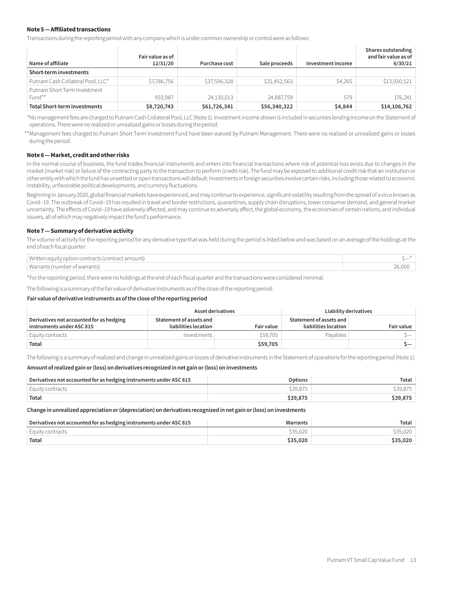#### **Note 5 — Affiliated transactions**

Transactions during the reporting period with any company which is under common ownership or control were as follows:

| Name of affiliate                      | Fair value as of<br>12/31/20 | Purchase cost | Sale proceeds | Investment income | Shares outstanding<br>and fair value as of<br>6/30/21 |
|----------------------------------------|------------------------------|---------------|---------------|-------------------|-------------------------------------------------------|
| Short-term investments                 |                              |               |               |                   |                                                       |
| Putnam Cash Collateral Pool, LLC*      | \$7,786,756                  | \$37,596,328  | \$31,452,563  | \$4,265           | \$13,930,521                                          |
| Putnam Short Term Investment<br>Fund** | 933,987                      | 24,130,013    | 24,887,759    | 579               | 176.241                                               |
| <b>Total Short-term investments</b>    | \$8,720,743                  | \$61,726,341  | \$56,340,322  | \$4,844           | \$14,106,762                                          |

\*No management fees are charged to Putnam Cash Collateral Pool, LLC (Note 1). Investment income shown is included in securities lending income on the Statement of operations. There were no realized or unrealized gains or losses during the period.

\*\*Management fees charged to Putnam Short Term Investment Fund have been waived by Putnam Management. There were no realized or unrealized gains or losses during the period.

#### **Note 6 — Market, credit and other risks**

In the normal course of business, the fund trades financial instruments and enters into financial transactions where risk of potential loss exists due to changes in the market (market risk) or failure of the contracting party to the transaction to perform (credit risk). The fund may be exposed to additional credit risk that an institution or other entity with which the fund has unsettled or open transactions will default.Investments in foreign securities involve certain risks, including those related to economic instability, unfavorable political developments, and currency fluctuations.

Beginning in January 2020, global financial markets have experienced, and may continue to experience, significant volatility resulting from the spread of a virus known as Covid–19. The outbreak of Covid–19 has resulted in travel and border restrictions, quarantines, supply chain disruptions, lower consumer demand, and general market uncertainty. The effects of Covid–19 have adversely affected, and may continue to adversely affect, the global economy, the economies of certain nations, and individual issuers, all of which may negatively impact the fund's performance.

#### **Note 7 — Summary of derivative activity**

The volume of activity for the reporting period for any derivative type that was held during the period is listed below and was based on an average of the holdings at the end of each fiscal quarter:

| Written equity option contracts (contract amount) |        |
|---------------------------------------------------|--------|
| Warrants (number of warrants)                     | 26.000 |

\*For the reporting period, there were no holdings at the end of each fiscal quarter and the transactions were considered minimal.

The following is a summary of the fair value of derivative instruments as of the close of the reporting period:

#### **Fair value of derivative instruments as of the close of the reporting period**

|                                                                       | Asset derivatives                               |                   | Liability derivatives                           |                   |
|-----------------------------------------------------------------------|-------------------------------------------------|-------------------|-------------------------------------------------|-------------------|
| Derivatives not accounted for as hedging<br>instruments under ASC 815 | Statement of assets and<br>liabilities location | <b>Fair value</b> | Statement of assets and<br>liabilities location | <b>Fair value</b> |
| Equity contracts                                                      | Investments                                     | \$59,705          | Pavables                                        | $S$ — $\sim$      |
| Total                                                                 |                                                 | \$59,705          |                                                 | $\sim$            |

The following is a summary of realized and change in unrealized gains or losses of derivative instruments in the Statement of operations for the reporting period (Note 1):

#### **Amount of realized gain or (loss) on derivatives recognized in net gain or (loss) on investments**

| Derivatives not accounted for as hedging instruments under ASC 815 | Options  | Total    |
|--------------------------------------------------------------------|----------|----------|
| Equity contracts                                                   | \$39.875 | \$39.875 |
| Total                                                              | \$39,875 | \$39,875 |

**Change in unrealized appreciation or (depreciation) on derivatives recognized in net gain or (loss) on investments**

| Derivatives not accounted for as hedging instruments under ASC 815 | Warrants | Total    |
|--------------------------------------------------------------------|----------|----------|
| Equity contracts                                                   | \$35,020 | \$35,020 |
| Total                                                              | \$35,020 | \$35.020 |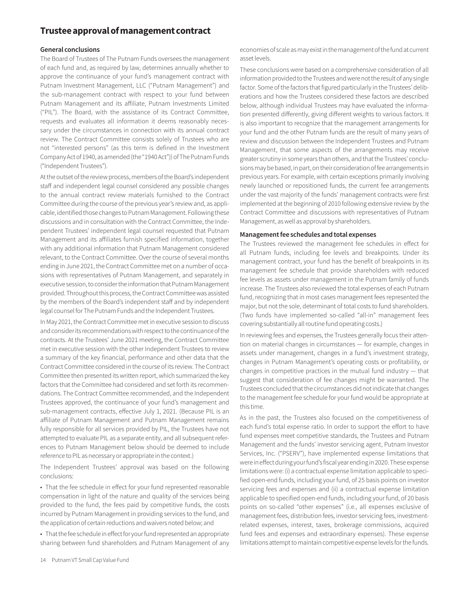# **Trustee approval of management contract**

#### **General conclusions**

The Board of Trustees of The Putnam Funds oversees the management of each fund and, as required by law, determines annually whether to approve the continuance of your fund's management contract with Putnam Investment Management, LLC ("Putnam Management") and the sub-management contract with respect to your fund between Putnam Management and its affiliate, Putnam Investments Limited ("PIL"). The Board, with the assistance of its Contract Committee, requests and evaluates all information it deems reasonably necessary under the circumstances in connection with its annual contract review. The Contract Committee consists solely of Trustees who are not "interested persons" (as this term is defined in the Investment Company Act of 1940, as amended (the "1940 Act")) of The Putnam Funds ("Independent Trustees").

At the outset of the review process, members of the Board's independent staff and independent legal counsel considered any possible changes to the annual contract review materials furnished to the Contract Committee during the course of the previous year's review and, as applicable, identified those changes to Putnam Management. Following these discussions and in consultation with the Contract Committee, the Independent Trustees' independent legal counsel requested that Putnam Management and its affiliates furnish specified information, together with any additional information that Putnam Management considered relevant, to the Contract Committee. Over the course of several months ending in June 2021, the Contract Committee met on a number of occasions with representatives of Putnam Management, and separately in executive session, to consider the information that Putnam Management provided. Throughout this process, the Contract Committee was assisted by the members of the Board's independent staff and by independent legal counsel for The Putnam Funds and the Independent Trustees.

In May 2021, the Contract Committee met in executive session to discuss and consider its recommendations with respect to the continuance of the contracts. At the Trustees' June 2021 meeting, the Contract Committee met in executive session with the other Independent Trustees to review a summary of the key financial, performance and other data that the Contract Committee considered in the course of its review. The Contract Committee then presented its written report, which summarized the key factors that the Committee had considered and set forth its recommendations. The Contract Committee recommended, and the Independent Trustees approved, the continuance of your fund's management and sub-management contracts, effective July 1, 2021. (Because PIL is an affiliate of Putnam Management and Putnam Management remains fully responsible for all services provided by PIL, the Trustees have not attempted to evaluate PIL as a separate entity, and all subsequent references to Putnam Management below should be deemed to include reference to PIL as necessary or appropriate in the context.)

The Independent Trustees' approval was based on the following conclusions:

• That the fee schedule in effect for your fund represented reasonable compensation in light of the nature and quality of the services being provided to the fund, the fees paid by competitive funds, the costs incurred by Putnam Management in providing services to the fund, and the application of certain reductions and waivers noted below; and

• That the fee schedule in effect for your fund represented an appropriate sharing between fund shareholders and Putnam Management of any economies of scale as may exist in the management of the fund at current asset levels.

These conclusions were based on a comprehensive consideration of all information provided to the Trustees and were not the result of any single factor. Some of the factors that figured particularly in the Trustees' deliberations and how the Trustees considered these factors are described below, although individual Trustees may have evaluated the information presented differently, giving different weights to various factors. It is also important to recognize that the management arrangements for your fund and the other Putnam funds are the result of many years of review and discussion between the Independent Trustees and Putnam Management, that some aspects of the arrangements may receive greater scrutiny in some years than others, and that the Trustees' conclusions may be based, in part, on their consideration of fee arrangements in previous years. For example, with certain exceptions primarily involving newly launched or repositioned funds, the current fee arrangements under the vast majority of the funds' management contracts were first implemented at the beginning of 2010 following extensive review by the Contract Committee and discussions with representatives of Putnam Management, as well as approval by shareholders.

#### **Management fee schedules and total expenses**

The Trustees reviewed the management fee schedules in effect for all Putnam funds, including fee levels and breakpoints. Under its management contract, your fund has the benefit of breakpoints in its management fee schedule that provide shareholders with reduced fee levels as assets under management in the Putnam family of funds increase. The Trustees also reviewed the total expenses of each Putnam fund, recognizing that in most cases management fees represented the major, but not the sole, determinant of total costs to fund shareholders. (Two funds have implemented so-called "all-in" management fees covering substantially all routine fund operating costs.)

In reviewing fees and expenses, the Trustees generally focus their attention on material changes in circumstances — for example, changes in assets under management, changes in a fund's investment strategy, changes in Putnam Management's operating costs or profitability, or changes in competitive practices in the mutual fund industry — that suggest that consideration of fee changes might be warranted. The Trustees concluded that the circumstances did not indicate that changes to the management fee schedule for your fund would be appropriate at this time.

As in the past, the Trustees also focused on the competitiveness of each fund's total expense ratio. In order to support the effort to have fund expenses meet competitive standards, the Trustees and Putnam Management and the funds' investor servicing agent, Putnam Investor Services, Inc. ("PSERV"), have implemented expense limitations that were in effect during your fund's fiscal year ending in 2020. These expense limitations were: (i) a contractual expense limitation applicable to specified open-end funds, including your fund, of 25 basis points on investor servicing fees and expenses and (ii) a contractual expense limitation applicable to specified open-end funds, including your fund, of 20 basis points on so-called "other expenses" (i.e., all expenses exclusive of management fees, distribution fees, investor servicing fees, investmentrelated expenses, interest, taxes, brokerage commissions, acquired fund fees and expenses and extraordinary expenses). These expense limitations attempt to maintain competitive expense levels for the funds.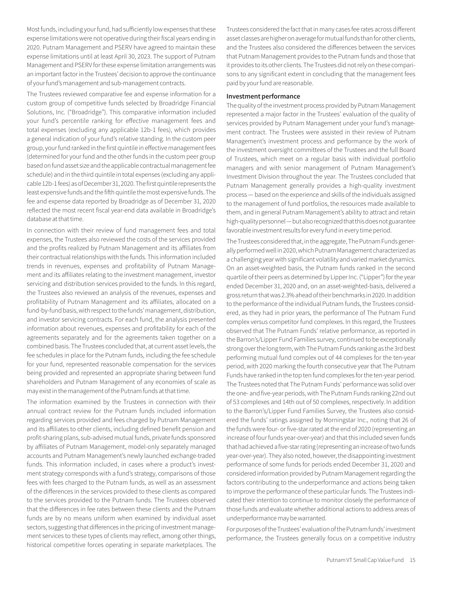Most funds, including your fund, had sufficiently low expenses that these expense limitations were not operative during their fiscal years ending in 2020. Putnam Management and PSERV have agreed to maintain these expense limitations until at least April 30, 2023. The support of Putnam Management and PSERV for these expense limitation arrangements was an important factor in the Trustees' decision to approve the continuance of your fund's management and sub-management contracts.

The Trustees reviewed comparative fee and expense information for a custom group of competitive funds selected by Broadridge Financial Solutions, Inc. ("Broadridge"). This comparative information included your fund's percentile ranking for effective management fees and total expenses (excluding any applicable 12b-1 fees), which provides a general indication of your fund's relative standing. In the custom peer group, your fund ranked in the first quintile in effective management fees (determined for your fund and the other funds in the custom peer group based on fund asset size and the applicable contractual management fee schedule) and in the third quintile in total expenses (excluding any applicable 12b-1 fees) as of December 31, 2020. The first quintile represents the least expensive funds and the fifth quintile the most expensive funds. The fee and expense data reported by Broadridge as of December 31, 2020 reflected the most recent fiscal year-end data available in Broadridge's database at that time.

In connection with their review of fund management fees and total expenses, the Trustees also reviewed the costs of the services provided and the profits realized by Putnam Management and its affiliates from their contractual relationships with the funds. This information included trends in revenues, expenses and profitability of Putnam Management and its affiliates relating to the investment management, investor servicing and distribution services provided to the funds. In this regard, the Trustees also reviewed an analysis of the revenues, expenses and profitability of Putnam Management and its affiliates, allocated on a fund-by-fund basis, with respect to the funds' management, distribution, and investor servicing contracts. For each fund, the analysis presented information about revenues, expenses and profitability for each of the agreements separately and for the agreements taken together on a combined basis. The Trustees concluded that, at current asset levels, the fee schedules in place for the Putnam funds, including the fee schedule for your fund, represented reasonable compensation for the services being provided and represented an appropriate sharing between fund shareholders and Putnam Management of any economies of scale as may exist in the management of the Putnam funds at that time.

The information examined by the Trustees in connection with their annual contract review for the Putnam funds included information regarding services provided and fees charged by Putnam Management and its affiliates to other clients, including defined benefit pension and profit-sharing plans, sub-advised mutual funds, private funds sponsored by affiliates of Putnam Management, model-only separately managed accounts and Putnam Management's newly launched exchange-traded funds. This information included, in cases where a product's investment strategy corresponds with a fund's strategy, comparisons of those fees with fees charged to the Putnam funds, as well as an assessment of the differences in the services provided to these clients as compared to the services provided to the Putnam funds. The Trustees observed that the differences in fee rates between these clients and the Putnam funds are by no means uniform when examined by individual asset sectors, suggesting that differences in the pricing of investment management services to these types of clients may reflect, among other things, historical competitive forces operating in separate marketplaces. The Trustees considered the fact that in many cases fee rates across different asset classes are higher on average for mutual funds than for other clients, and the Trustees also considered the differences between the services that Putnam Management provides to the Putnam funds and those that it provides to its other clients. The Trustees did not rely on these comparisons to any significant extent in concluding that the management fees paid by your fund are reasonable.

#### **Investment performance**

The quality of the investment process provided by Putnam Management represented a major factor in the Trustees' evaluation of the quality of services provided by Putnam Management under your fund's management contract. The Trustees were assisted in their review of Putnam Management's investment process and performance by the work of the investment oversight committees of the Trustees and the full Board of Trustees, which meet on a regular basis with individual portfolio managers and with senior management of Putnam Management's Investment Division throughout the year. The Trustees concluded that Putnam Management generally provides a high-quality investment process — based on the experience and skills of the individuals assigned to the management of fund portfolios, the resources made available to them, and in general Putnam Management's ability to attract and retain high-quality personnel — but also recognized that this does not guarantee favorable investment results for every fund in every time period.

The Trustees considered that, in the aggregate, The Putnam Funds generally performed well in 2020, which Putnam Management characterized as a challenging year with significant volatility and varied market dynamics. On an asset-weighted basis, the Putnam funds ranked in the second quartile of their peers as determined by Lipper Inc. ("Lipper") for the year ended December 31, 2020 and, on an asset-weighted-basis, delivered a gross return that was 2.3% ahead of their benchmarks in 2020. In addition to the performance of the individual Putnam funds, the Trustees considered, as they had in prior years, the performance of The Putnam Fund complex versus competitor fund complexes. In this regard, the Trustees observed that The Putnam Funds' relative performance, as reported in the Barron's/Lipper Fund Families survey, continued to be exceptionally strong over the long term, with The Putnam Funds ranking as the 3rd best performing mutual fund complex out of 44 complexes for the ten-year period, with 2020 marking the fourth consecutive year that The Putnam Funds have ranked in the top ten fund complexes for the ten-year period. The Trustees noted that The Putnam Funds' performance was solid over the one- and five-year periods, with The Putnam Funds ranking 22nd out of 53 complexes and 14th out of 50 complexes, respectively. In addition to the Barron's/Lipper Fund Families Survey, the Trustees also considered the funds' ratings assigned by Morningstar Inc., noting that 26 of the funds were four- or five-star rated at the end of 2020 (representing an increase of four funds year-over-year) and that this included seven funds that had achieved a five-star rating (representing an increase of two funds year-over-year). They also noted, however, the disappointing investment performance of some funds for periods ended December 31, 2020 and considered information provided by Putnam Management regarding the factors contributing to the underperformance and actions being taken to improve the performance of these particular funds. The Trustees indicated their intention to continue to monitor closely the performance of those funds and evaluate whether additional actions to address areas of underperformance may be warranted.

For purposes of the Trustees' evaluation of the Putnam funds' investment performance, the Trustees generally focus on a competitive industry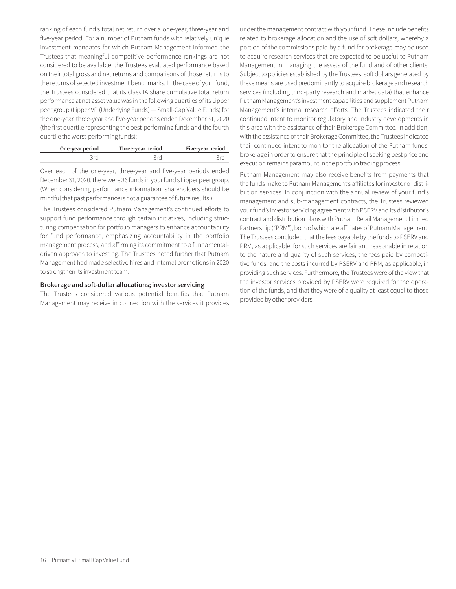ranking of each fund's total net return over a one-year, three-year and five-year period. For a number of Putnam funds with relatively unique investment mandates for which Putnam Management informed the Trustees that meaningful competitive performance rankings are not considered to be available, the Trustees evaluated performance based on their total gross and net returns and comparisons of those returns to the returns of selected investment benchmarks. In the case of your fund, the Trustees considered that its class IA share cumulative total return performance at net asset value was in the following quartiles of its Lipper peer group (Lipper VP (Underlying Funds) — Small-Cap Value Funds) for the one-year, three-year and five-year periods ended December 31, 2020 (the first quartile representing the best-performing funds and the fourth quartile the worst-performing funds):

| One-year period | Three-year period | Five-year period |
|-----------------|-------------------|------------------|
|                 |                   |                  |

Over each of the one-year, three-year and five-year periods ended December 31, 2020, there were 36 funds in your fund's Lipper peer group. (When considering performance information, shareholders should be mindful that past performance is not a guarantee of future results.)

The Trustees considered Putnam Management's continued efforts to support fund performance through certain initiatives, including structuring compensation for portfolio managers to enhance accountability for fund performance, emphasizing accountability in the portfolio management process, and affirming its commitment to a fundamentaldriven approach to investing. The Trustees noted further that Putnam Management had made selective hires and internal promotions in 2020 to strengthen its investment team.

#### **Brokerage and soft-dollar allocations; investor servicing**

The Trustees considered various potential benefits that Putnam Management may receive in connection with the services it provides under the management contract with your fund. These include benefits related to brokerage allocation and the use of soft dollars, whereby a portion of the commissions paid by a fund for brokerage may be used to acquire research services that are expected to be useful to Putnam Management in managing the assets of the fund and of other clients. Subject to policies established by the Trustees, soft dollars generated by these means are used predominantly to acquire brokerage and research services (including third-party research and market data) that enhance Putnam Management's investment capabilities and supplement Putnam Management's internal research efforts. The Trustees indicated their continued intent to monitor regulatory and industry developments in this area with the assistance of their Brokerage Committee. In addition, with the assistance of their Brokerage Committee, the Trustees indicated their continued intent to monitor the allocation of the Putnam funds' brokerage in order to ensure that the principle of seeking best price and execution remains paramount in the portfolio trading process.

Putnam Management may also receive benefits from payments that the funds make to Putnam Management's affiliates for investor or distribution services. In conjunction with the annual review of your fund's management and sub-management contracts, the Trustees reviewed your fund's investor servicing agreement with PSERV and its distributor's contract and distribution plans with Putnam Retail Management Limited Partnership ("PRM"), both of which are affiliates of Putnam Management. The Trustees concluded that the fees payable by the funds to PSERV and PRM, as applicable, for such services are fair and reasonable in relation to the nature and quality of such services, the fees paid by competitive funds, and the costs incurred by PSERV and PRM, as applicable, in providing such services. Furthermore, the Trustees were of the view that the investor services provided by PSERV were required for the operation of the funds, and that they were of a quality at least equal to those provided by other providers.